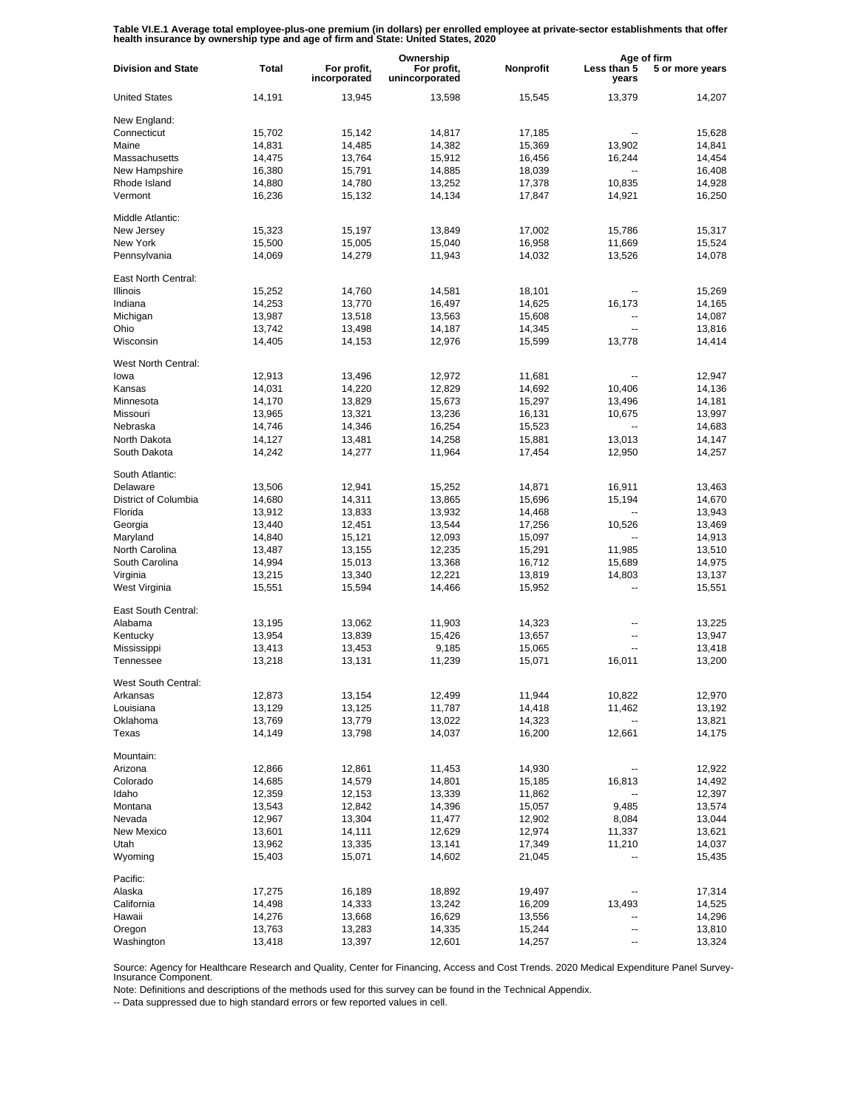Table VI.E.1 Average total employee-plus-one premium (in dollars) per enrolled employee at private-sector establishments that offer<br>health insurance by ownership type and age of firm and State: United States, 2020

|                           |              |                             | Ownership                     |           | Age of firm              |                 |
|---------------------------|--------------|-----------------------------|-------------------------------|-----------|--------------------------|-----------------|
| <b>Division and State</b> | <b>Total</b> | For profit,<br>incorporated | For profit,<br>unincorporated | Nonprofit | Less than 5<br>years     | 5 or more years |
| <b>United States</b>      | 14,191       | 13,945                      | 13,598                        | 15,545    | 13,379                   | 14,207          |
| New England:              |              |                             |                               |           |                          |                 |
| Connecticut               | 15,702       | 15,142                      | 14,817                        | 17,185    |                          | 15,628          |
| Maine                     | 14,831       | 14,485                      | 14,382                        | 15,369    | 13,902                   | 14,841          |
| Massachusetts             | 14,475       | 13,764                      | 15,912                        | 16,456    | 16,244                   | 14,454          |
| New Hampshire             | 16,380       | 15,791                      | 14,885                        | 18,039    | $\overline{\phantom{a}}$ | 16,408          |
| Rhode Island              | 14,880       | 14,780                      | 13,252                        | 17,378    | 10,835                   | 14,928          |
| Vermont                   | 16,236       | 15,132                      | 14,134                        | 17,847    | 14,921                   | 16,250          |
| Middle Atlantic:          |              |                             |                               |           |                          |                 |
| New Jersey                | 15,323       | 15,197                      | 13,849                        | 17,002    | 15,786                   | 15,317          |
| New York                  | 15,500       | 15,005                      | 15,040                        | 16,958    | 11,669                   | 15,524          |
| Pennsylvania              | 14,069       | 14,279                      | 11,943                        | 14,032    | 13,526                   | 14,078          |
| East North Central:       |              |                             |                               |           |                          |                 |
| <b>Illinois</b>           | 15,252       | 14,760                      | 14,581                        | 18,101    | --                       | 15,269          |
| Indiana                   | 14,253       | 13,770                      | 16,497                        | 14,625    | 16,173                   | 14,165          |
| Michigan                  | 13,987       | 13,518                      | 13,563                        | 15,608    | --                       | 14,087          |
| Ohio                      | 13,742       | 13,498                      | 14,187                        | 14,345    | $\overline{a}$           | 13,816          |
| Wisconsin                 | 14,405       | 14,153                      | 12,976                        | 15,599    | 13,778                   | 14,414          |
|                           |              |                             |                               |           |                          |                 |
| West North Central:       |              |                             |                               |           |                          |                 |
| lowa                      | 12,913       | 13,496                      | 12,972                        | 11,681    |                          | 12,947          |
| Kansas                    | 14,031       | 14,220                      | 12,829                        | 14,692    | 10,406                   | 14,136          |
| Minnesota                 | 14,170       | 13,829                      | 15,673                        | 15,297    | 13,496                   | 14,181          |
| Missouri                  | 13,965       | 13,321                      | 13,236                        | 16,131    | 10,675                   | 13,997          |
| Nebraska                  | 14,746       | 14,346                      | 16,254                        | 15,523    |                          | 14,683          |
| North Dakota              | 14,127       | 13,481                      | 14,258                        | 15,881    | 13,013                   | 14,147          |
| South Dakota              | 14,242       | 14,277                      | 11,964                        | 17,454    | 12,950                   | 14,257          |
| South Atlantic:           |              |                             |                               |           |                          |                 |
| Delaware                  | 13,506       | 12,941                      | 15,252                        | 14,871    | 16,911                   | 13,463          |
| District of Columbia      | 14,680       | 14,311                      | 13,865                        | 15,696    | 15,194                   | 14,670          |
| Florida                   | 13,912       | 13,833                      | 13,932                        | 14,468    | --                       | 13,943          |
| Georgia                   | 13,440       | 12,451                      | 13,544                        | 17,256    | 10,526                   | 13,469          |
| Maryland                  | 14,840       | 15,121                      | 12,093                        | 15,097    | $\overline{\phantom{a}}$ | 14,913          |
| North Carolina            |              |                             | 12,235                        | 15,291    | 11,985                   | 13,510          |
|                           | 13,487       | 13,155                      |                               |           |                          |                 |
| South Carolina            | 14,994       | 15,013                      | 13,368                        | 16,712    | 15,689                   | 14,975          |
| Virginia                  | 13,215       | 13,340                      | 12,221                        | 13,819    | 14,803                   | 13,137          |
| West Virginia             | 15,551       | 15,594                      | 14,466                        | 15,952    | --                       | 15,551          |
| East South Central:       |              |                             |                               |           |                          |                 |
| Alabama                   | 13,195       | 13,062                      | 11,903                        | 14,323    | --                       | 13,225          |
| Kentucky                  | 13,954       | 13,839                      | 15,426                        | 13,657    | --                       | 13,947          |
| Mississippi               | 13,413       | 13,453                      | 9,185                         | 15,065    | --                       | 13,418          |
| Tennessee                 | 13,218       | 13,131                      | 11,239                        | 15,071    | 16,011                   | 13,200          |
| West South Central:       |              |                             |                               |           |                          |                 |
| Arkansas                  | 12,873       | 13,154                      | 12,499                        | 11,944    | 10,822                   | 12,970          |
| Louisiana                 | 13,129       | 13,125                      | 11,787                        | 14,418    | 11,462                   | 13,192          |
| Oklahoma                  | 13,769       | 13,779                      | 13,022                        | 14,323    |                          | 13,821          |
| Texas                     | 14,149       | 13,798                      | 14,037                        | 16,200    | 12,661                   | 14,175          |
| Mountain:                 |              |                             |                               |           |                          |                 |
| Arizona                   | 12,866       | 12,861                      | 11,453                        | 14,930    |                          | 12,922          |
|                           |              |                             |                               |           |                          |                 |
| Colorado                  | 14,685       | 14,579                      | 14,801                        | 15,185    | 16,813                   | 14,492          |
| Idaho                     | 12,359       | 12,153                      | 13,339                        | 11,862    |                          | 12,397          |
| Montana                   | 13,543       | 12,842                      | 14,396                        | 15,057    | 9,485                    | 13,574          |
| Nevada                    | 12,967       | 13,304                      | 11,477                        | 12,902    | 8,084                    | 13,044          |
| New Mexico                | 13,601       | 14,111                      | 12,629                        | 12,974    | 11,337                   | 13,621          |
| Utah                      | 13,962       | 13,335                      | 13,141                        | 17,349    | 11,210                   | 14,037          |
| Wyoming                   | 15,403       | 15,071                      | 14,602                        | 21,045    |                          | 15,435          |
| Pacific:                  |              |                             |                               |           |                          |                 |
| Alaska                    | 17,275       | 16,189                      | 18,892                        | 19,497    |                          | 17,314          |
| California                | 14,498       | 14,333                      | 13,242                        | 16,209    | 13,493                   | 14,525          |
| Hawaii                    | 14,276       | 13,668                      | 16,629                        | 13,556    | --                       | 14,296          |
| Oregon                    | 13,763       | 13,283                      | 14,335                        | 15,244    | --                       | 13,810          |
| Washington                | 13,418       | 13,397                      | 12,601                        | 14,257    | -−                       | 13,324          |
|                           |              |                             |                               |           |                          |                 |

Source: Agency for Healthcare Research and Quality, Center for Financing, Access and Cost Trends. 2020 Medical Expenditure Panel Survey-Insurance Component.

Note: Definitions and descriptions of the methods used for this survey can be found in the Technical Appendix.

-- Data suppressed due to high standard errors or few reported values in cell.